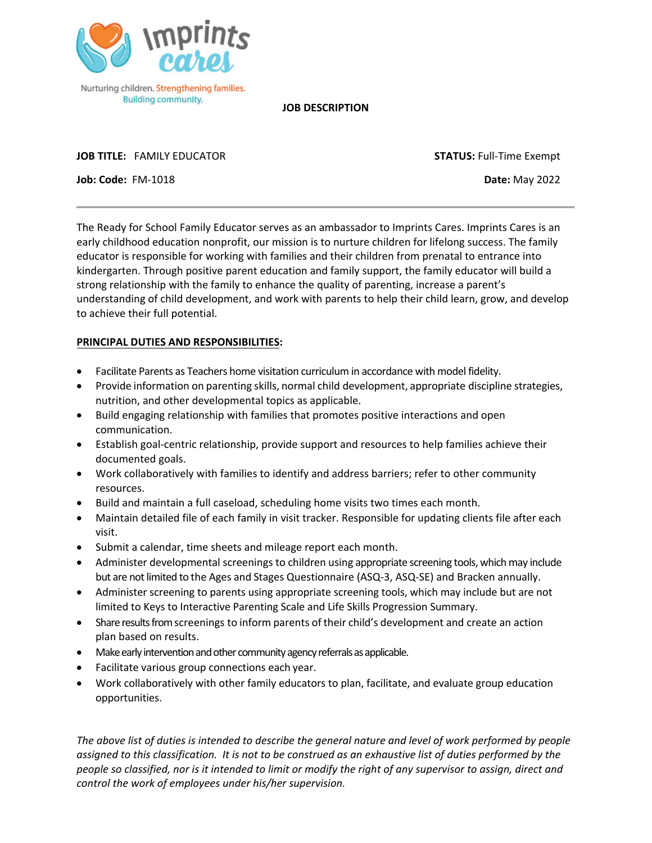

**JOB DESCRIPTION**

**JOB TITLE:** FAMILY EDUCATOR **STATUS:** Full-Time Exempt

**Job: Code:** FM-1018 **Date:** May 2022

The Ready for School Family Educator serves as an ambassador to Imprints Cares. Imprints Cares is an early childhood education nonprofit, our mission is to nurture children for lifelong success. The family educator is responsible for working with families and their children from prenatal to entrance into kindergarten. Through positive parent education and family support, the family educator will build a strong relationship with the family to enhance the quality of parenting, increase a parent's understanding of child development, and work with parents to help their child learn, grow, and develop to achieve their full potential.

## **PRINCIPAL DUTIES AND RESPONSIBILITIES:**

- Facilitate Parents as Teachers home visitation curriculum in accordance with model fidelity.
- Provide information on parenting skills, normal child development, appropriate discipline strategies, nutrition, and other developmental topics as applicable.
- Build engaging relationship with families that promotes positive interactions and open communication.
- Establish goal-centric relationship, provide support and resources to help families achieve their documented goals.
- Work collaboratively with families to identify and address barriers; refer to other community resources.
- Build and maintain a full caseload, scheduling home visits two times each month.
- Maintain detailed file of each family in visit tracker. Responsible for updating clients file after each visit.
- Submit a calendar, time sheets and mileage report each month.
- Administer developmental screenings to children using appropriate screening tools, which may include but are not limited to the Ages and Stages Questionnaire (ASQ-3, ASQ-SE) and Bracken annually.
- Administer screening to parents using appropriate screening tools, which may include but are not limited to Keys to Interactive Parenting Scale and Life Skills Progression Summary.
- Share results from screenings to inform parents of their child's development and create an action plan based on results.
- Make early intervention and other community agency referrals as applicable.
- Facilitate various group connections each year.
- Work collaboratively with other family educators to plan, facilitate, and evaluate group education opportunities.

*The above list of duties is intended to describe the general nature and level of work performed by people assigned to this classification. It is not to be construed as an exhaustive list of duties performed by the people so classified, nor is it intended to limit or modify the right of any supervisor to assign, direct and control the work of employees under his/her supervision.*